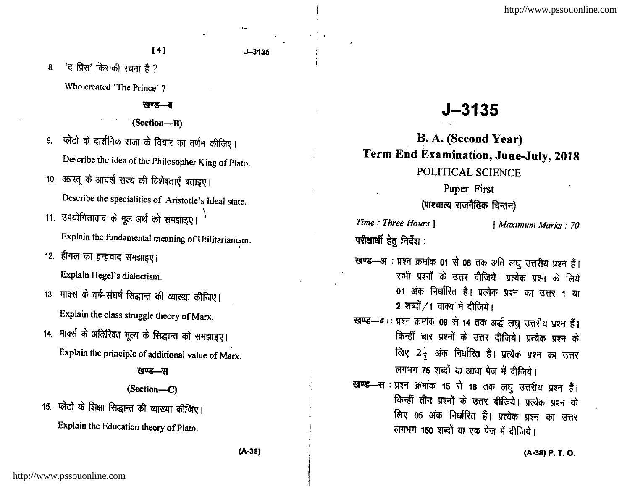$J - 3135$ 

'द प्रिंस' किसकी रचना है ?  $8.$ 

Who created 'The Prince' ?

### खण्ड-ब

(Section-B)

प्लेटो के दार्शनिक राजा के विचार का वर्णन कीजिए। 9. Describe the idea of the Philosopher King of Plato.

- 10. अऱस्तू के आदर्श राज्य की विशेषताएँ बताइए। Describe the specialities of Aristotle's Ideal state.
- 11. उपयोगितावाद के मूल अर्थ को समझाइए।

Explain the fundamental meaning of Utilitarianism.

12. हीगल का द्वन्द्ववाद समझाइए।

Explain Hegel's dialectism.

- 13. मार्क्स के वर्ग-संघर्ष सिद्धान्त की व्याख्या कीजिए। Explain the class struggle theory of Marx.
- 14. मार्क्स के अतिरिक्त मूल्य के सिद्धान्त को समझाइए। Explain the principle of additional value of Marx.

# खण्ड—स

# $(Section—C)$

15. प्लेटो के शिक्षा सिद्धान्त की व्याख्या कीजिए। Explain the Education theory of Plato.

# $J - 3135$

B. A. (Second Year) Term End Examination, June-July, 2018 POLITICAL SCIENCE

# Paper First

# (पाश्चात्य राजनैतिक चिन्तन)

Time: Three Hours ] परीक्षार्थी हेतु निर्देश:

# [ Maximum Marks: 70

- खण्ड- अः प्रश्न क्रमांक 01 से 08 तक अति लघु उत्तरीय प्रश्न हैं। सभी प्रश्नों के उत्तर दीजिये। प्रत्येक प्रश्न के लिये 01 अंक निर्धारित है। प्रत्येक प्रश्न का उत्तर 1 या 2 शब्दों /1 वाक्य में दीजिये।
- खण्ड-बाः प्रश्न क्रमांक 09 से 14 तक अर्द्ध लघु उत्तरीय प्रश्न हैं। किन्हीं चार प्रश्नों के उत्तर दीजिये। प्रत्येक प्रश्न के लिए 2<sup>1</sup> अंक निर्धारित हैं। प्रत्येक प्रश्न का उत्तर लगभग 75 शब्दों या आधा पेज में दीजिये।
- खण्ड—स : प्रश्न क्रमांक 15 से 18 तक लघु उत्तरीय प्रश्न हैं। किन्हीं तीन प्रश्नों के उत्तर दीजिये। प्रत्येक प्रश्न के लिए 05 अंक निर्धारित हैं। प्रत्येक प्रश्न का उत्तर लगभग 150 शब्दों या एक पेज में दीजिये।

(A-38) P. T. O.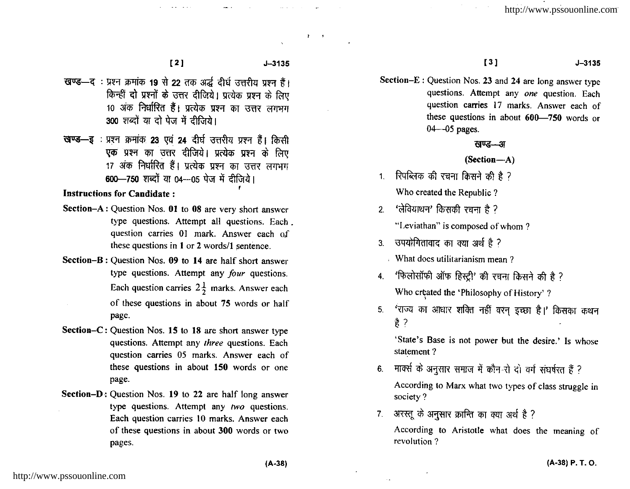$J - 3135$ 

- खण्ड-द: प्रश्न क्रमांक 19 से 22 तक अर्द्ध दीर्घ उत्तरीय प्रश्न हैं। किन्हीं दो प्रश्नों के उत्तर दीजिये। प्रत्येक प्रश्न के लिए 10 अंक निर्धारित हैं। प्रत्येक प्रश्न का उत्तर लगभग 300 शब्दों या दो पेज में दीजिये।
- खण्ड-इ: प्रश्न क्रमांक 23 एवं 24 दीर्घ उत्तरीय प्रश्न हैं। किसी एक प्रश्न का उत्तर दीजिये। प्रत्येक प्रश्न के लिए 17 अंक निर्धारित हैं। प्रत्येक प्रश्न का उत्तर लगभग 600-750 शब्दों या 04-05 पेज में दीजिये।

# **Instructions for Candidate:**

- Section-A: Question Nos. 01 to 08 are very short answer type questions. Attempt all questions. Each. question carries 01 mark. Answer each of these questions in 1 or 2 words/1 sentence.
- Section-B: Question Nos. 09 to 14 are half short answer type questions. Attempt any four questions. Each question carries  $2\frac{1}{2}$  marks. Answer each of these questions in about 75 words or half page.
- Section–C: Question Nos. 15 to 18 are short answer type questions. Attempt any three questions. Each question carries 05 marks. Answer each of these questions in about 150 words or one page.
- Section-D: Question Nos. 19 to 22 are half long answer type questions. Attempt any two questions. Each question carries 10 marks. Answer each of these questions in about 300 words or two pages.

#### $J - 3135$

 $\mathbf{r} = \mathbf{r}$ 

Section-E: Question Nos. 23 and 24 are long answer type questions. Attempt any one question. Each question carries 17 marks. Answer each of these questions in about 600-750 words or

 $[3]$ 

खण्ड—अ

(Section-A)

1. रिपब्लिक की रचना किसने की है ? Who created the Republic?

 $04 - 05$  pages.

2. 'लेवियाथन' किसकी रचना है ?

"Leviathan" is composed of whom?

- उपयोगितावाद का क्या अर्थ है ?  $\overline{3}$ 
	- What does utilitarianism mean?
- 4. 'फिलोसॉफी ऑफ हिस्ट्री' की रचना किसने की है ? Who created the 'Philosophy of History'?
- 'राज्य का आधार शक्ति नहीं वरन इच्छा है।' किसका कथन  $5.$  $\frac{4}{5}$  ?

'State's Base is not power but the desire.' Is whose statement?

- मार्क्स के अनुसार समाज में कौन-रो दो वर्ग संघर्षरत हैं ?  $6<sub>1</sub>$ According to Marx what two types of class struggle in society?
- अरस्तू के अनुसार क्रान्ति का क्या अर्थ है ?  $7<sup>1</sup>$

According to Aristotle what does the meaning of revolution?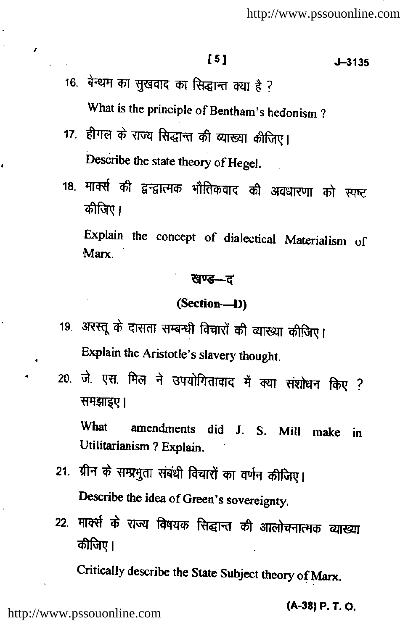# $[5]$

 $J - 3135$ 

- 16. बेन्थम का सुखवाद का सिद्धान्त क्या है ? What is the principle of Bentham's hedonism?
- 17. हीगल के राज्य सिद्धान्त की व्याख्या कीजिए। Describe the state theory of Hegel.

 $\mathbf{r}$ 

 $\overline{1}$ 

18. मार्क्स की द्वन्द्वात्मक भौतिकवाद की अवधारणा को स्पष्ट कीजिए।

Explain the concept of dialectical Materialism of Marx

# ं खण्ड—ट

#### (Section-D)

- 19. अरस्तू के दासता सम्बन्धी विचारों की व्याख्या कीजिए। Explain the Aristotle's slavery thought.
- 20. जे. एस. मिल ने उपयोगितावाद में क्या संशोधन किए ? समझाइए।

What amendments did J. S. Mill make in Utilitarianism ? Explain.

- 21. ग्रीन के सम्प्रभुता संबंधी विचारों का वर्णन कीजिए। Describe the idea of Green's sovereignty.
- 22. मार्क्स के राज्य विषयक सिद्धान्त की आलोचनात्मक व्याख्या कीजिए।

Critically describe the State Subject theory of Marx.

(A-38) P.T.O.